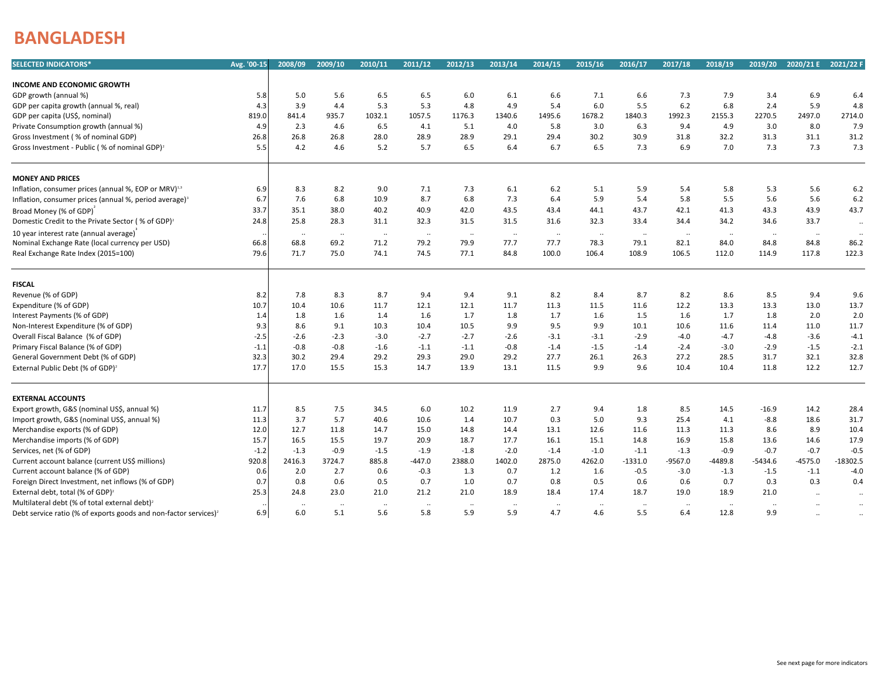## **BANGLADESH**

| 5.6<br>6.5<br>6.5<br>7.9<br>3.4<br>6.9<br>5.0<br>6.0<br>$6.1$<br>6.6<br>7.1<br>6.6<br>7.3<br>6.4<br>5.8<br>5.3<br>5.3<br>6.0<br>6.8<br>2.4<br>5.9<br>4.3<br>3.9<br>4.4<br>4.8<br>4.9<br>5.4<br>5.5<br>6.2<br>4.8<br>935.7<br>1032.1<br>1057.5<br>1678.2<br>1840.3<br>1992.3<br>2270.5<br>2497.0<br>2714.0<br>819.0<br>841.4<br>1176.3<br>1340.6<br>1495.6<br>2155.3<br>4.6<br>6.5<br>4.1<br>5.1<br>4.9<br>3.0<br>8.0<br>7.9<br>4.9<br>2.3<br>4.0<br>5.8<br>3.0<br>6.3<br>9.4<br>31.3<br>31.2<br>26.8<br>26.8<br>28.0<br>28.9<br>28.9<br>29.1<br>29.4<br>30.2<br>30.9<br>31.8<br>32.2<br>31.1<br>26.8<br>5.7<br>6.5<br>7.3<br>7.3<br>7.3<br>Gross Investment - Public (% of nominal GDP) <sup>2</sup><br>4.2<br>4.6<br>5.2<br>6.4<br>6.7<br>6.5<br>7.3<br>6.9<br>7.0<br>5.5<br><b>MONEY AND PRICES</b><br>Inflation, consumer prices (annual %, EOP or MRV) <sup>1,3</sup><br>8.3<br>8.2<br>9.0<br>7.1<br>7.3<br>6.1<br>$6.2$<br>5.9<br>5.8<br>5.3<br>5.6<br>$6.2$<br>6.9<br>5.1<br>5.4<br>7.6<br>6.8<br>8.7<br>6.8<br>7.3<br>5.9<br>5.5<br>5.6<br>5.6<br>6.2<br>10.9<br>6.4<br>5.4<br>5.8<br>Inflation, consumer prices (annual %, period average) <sup>3</sup><br>6.7<br>42.0<br>43.3<br>43.9<br>43.7<br>35.1<br>38.0<br>40.2<br>40.9<br>43.5<br>43.4<br>44.1<br>43.7<br>42.1<br>41.3<br>33.7<br>Broad Money (% of GDP)<br>25.8<br>28.3<br>31.1<br>32.3<br>31.5<br>31.5<br>31.6<br>32.3<br>33.4<br>34.4<br>34.2<br>34.6<br>33.7<br>Domestic Credit to the Private Sector (% of GDP) <sup>2</sup><br>24.8<br>$\ddotsc$<br>10 year interest rate (annual average)<br>$\sim$<br>$\cdots$<br>$\sim$<br>$\sim$<br>$\ldots$<br>$\ldots$<br>$\cdot$ .<br>$\cdot\cdot$<br>$\sim$<br>$\sim$<br>$\sim$<br>$\ddotsc$<br>$\cdot$ .<br>84.8<br>Nominal Exchange Rate (local currency per USD)<br>68.8<br>69.2<br>71.2<br>79.2<br>79.9<br>77.7<br>77.7<br>78.3<br>79.1<br>82.1<br>84.0<br>84.8<br>86.2<br>66.8<br>75.0<br>74.1<br>74.5<br>77.1<br>84.8<br>100.0<br>112.0<br>117.8<br>122.3<br>79.6<br>71.7<br>106.4<br>108.9<br>106.5<br>114.9<br><b>FISCAL</b><br>Revenue (% of GDP)<br>7.8<br>8.3<br>8.7<br>9.4<br>9.4<br>9.1<br>8.2<br>8.7<br>8.2<br>8.6<br>8.5<br>9.4<br>8.2<br>8.4<br>9.6<br>10.6<br>11.7<br>12.1<br>12.1<br>11.3<br>12.2<br>13.3<br>13.3<br>13.0<br>13.7<br>Expenditure (% of GDP)<br>10.7<br>10.4<br>11.7<br>11.5<br>11.6<br>1.6<br>1.7<br>1.7<br>2.0<br>1.6<br>1.4<br>1.8<br>1.7<br>1.5<br>1.6<br>1.8<br>2.0<br>Interest Payments (% of GDP)<br>1.8<br>1.6<br>1.4<br>8.6<br>9.1<br>10.3<br>10.4<br>10.5<br>9.9<br>9.5<br>9.9<br>10.1<br>11.6<br>11.4<br>11.0<br>11.7<br>Non-Interest Expenditure (% of GDP)<br>9.3<br>10.6<br>Overall Fiscal Balance (% of GDP)<br>$-2.3$<br>$-3.0$<br>$-2.7$<br>$-2.7$<br>$-2.6$<br>$-3.1$<br>$-3.1$<br>$-2.9$<br>$-4.0$<br>$-4.7$<br>$-4.8$<br>$-3.6$<br>$-4.1$<br>-2.5<br>$-2.6$<br>$-1.5$<br>Primary Fiscal Balance (% of GDP)<br>$-0.8$<br>$-0.8$<br>$-1.6$<br>$-1.1$<br>$-1.1$<br>$-0.8$<br>$-1.5$<br>$-3.0$<br>$-2.9$<br>$-2.1$<br>$-1.1$<br>$-1.4$<br>$-1.4$<br>$-2.4$<br>29.4<br>29.2<br>29.3<br>29.0<br>32.1<br>32.8<br>General Government Debt (% of GDP)<br>32.3<br>30.2<br>29.2<br>27.7<br>26.1<br>26.3<br>27.2<br>28.5<br>31.7<br>15.5<br>15.3<br>12.2<br>12.7<br>17.7<br>17.0<br>14.7<br>13.9<br>13.1<br>11.5<br>9.9<br>9.6<br>10.4<br>10.4<br>11.8<br><b>EXTERNAL ACCOUNTS</b><br>7.5<br>Export growth, G&S (nominal US\$, annual %)<br>8.5<br>34.5<br>6.0<br>10.2<br>11.9<br>2.7<br>9.4<br>1.8<br>8.5<br>14.5<br>$-16.9$<br>14.2<br>28.4<br>11.7<br>$-8.8$<br>31.7<br>Import growth, G&S (nominal US\$, annual %)<br>3.7<br>5.7<br>40.6<br>10.6<br>1.4<br>10.7<br>0.3<br>5.0<br>9.3<br>25.4<br>4.1<br>18.6<br>11.3<br>8.9<br>Merchandise exports (% of GDP)<br>12.7<br>11.8<br>14.7<br>15.0<br>14.8<br>14.4<br>13.1<br>12.6<br>11.3<br>8.6<br>10.4<br>12.0<br>11.6<br>11.3<br>15.5<br>17.9<br>Merchandise imports (% of GDP)<br>16.5<br>19.7<br>20.9<br>18.7<br>17.7<br>16.1<br>15.1<br>14.8<br>16.9<br>15.8<br>13.6<br>14.6<br>15.7<br>$-0.9$<br>$-0.7$<br>$-0.7$<br>$-0.5$<br>Services, net (% of GDP)<br>$-1.2$<br>$-1.3$<br>$-1.5$<br>$-1.9$<br>$-1.8$<br>$-2.0$<br>$-1.4$<br>$-1.0$<br>$-1.1$<br>$-1.3$<br>$-0.9$<br>2875.0<br>$-4575.0$<br>$-18302.5$<br>Current account balance (current US\$ millions)<br>920.8<br>2416.3<br>3724.7<br>885.8<br>$-447.0$<br>2388.0<br>1402.0<br>4262.0<br>$-1331.0$<br>$-9567.0$<br>$-4489.8$<br>$-5434.6$<br>2.7<br>$-0.3$<br>Current account balance (% of GDP)<br>2.0<br>0.6<br>1.3<br>0.7<br>1.2<br>$-0.5$<br>$-3.0$<br>$-1.3$<br>$-1.5$<br>$-1.1$<br>$-4.0$<br>0.6<br>1.6<br>0.6<br>0.5<br>0.7<br>0.7<br>0.3<br>0.3<br>Foreign Direct Investment, net inflows (% of GDP)<br>0.7<br>0.8<br>1.0<br>0.7<br>0.8<br>0.5<br>0.6<br>0.6<br>0.4<br>24.8<br>23.0<br>21.0<br>21.2<br>21.0<br>18.9<br>18.4<br>17.4<br>18.7<br>19.0<br>18.9<br>21.0<br>External debt, total (% of GDP) <sup>2</sup><br>25.3<br>$\ldots$<br>$\ldots$<br>Multilateral debt (% of total external debt) <sup>2</sup><br>$\sim$<br>$\ddotsc$<br>$\cdot\cdot$<br>$\cdots$<br>$\cdot$ .<br>$\ddotsc$<br>$\ddotsc$<br>$\cdot$ .<br>$\cdot$ .<br>$\cdot$<br>$\cdot$<br>$\cdot$<br>$\ddotsc$<br>$\cdot$ .<br>6.0<br>5.1<br>5.6<br>5.8<br>5.9<br>5.9<br>4.7<br>5.5<br>12.8<br>9.9<br>6.9<br>4.6<br>6.4<br>Debt service ratio (% of exports goods and non-factor services) <sup>2</sup><br>$\ddotsc$<br>$\ddotsc$ | <b>SELECTED INDICATORS*</b>                  | Avg. '00-15 | 2008/09 | 2009/10 | 2010/11 | 2011/12 | 2012/13 | 2013/14 | 2014/15 | 2015/16 | 2016/17 | 2017/18 | 2018/19 | 2019/20 | 2020/21 E | 2021/22 F |
|------------------------------------------------------------------------------------------------------------------------------------------------------------------------------------------------------------------------------------------------------------------------------------------------------------------------------------------------------------------------------------------------------------------------------------------------------------------------------------------------------------------------------------------------------------------------------------------------------------------------------------------------------------------------------------------------------------------------------------------------------------------------------------------------------------------------------------------------------------------------------------------------------------------------------------------------------------------------------------------------------------------------------------------------------------------------------------------------------------------------------------------------------------------------------------------------------------------------------------------------------------------------------------------------------------------------------------------------------------------------------------------------------------------------------------------------------------------------------------------------------------------------------------------------------------------------------------------------------------------------------------------------------------------------------------------------------------------------------------------------------------------------------------------------------------------------------------------------------------------------------------------------------------------------------------------------------------------------------------------------------------------------------------------------------------------------------------------------------------------------------------------------------------------------------------------------------------------------------------------------------------------------------------------------------------------------------------------------------------------------------------------------------------------------------------------------------------------------------------------------------------------------------------------------------------------------------------------------------------------------------------------------------------------------------------------------------------------------------------------------------------------------------------------------------------------------------------------------------------------------------------------------------------------------------------------------------------------------------------------------------------------------------------------------------------------------------------------------------------------------------------------------------------------------------------------------------------------------------------------------------------------------------------------------------------------------------------------------------------------------------------------------------------------------------------------------------------------------------------------------------------------------------------------------------------------------------------------------------------------------------------------------------------------------------------------------------------------------------------------------------------------------------------------------------------------------------------------------------------------------------------------------------------------------------------------------------------------------------------------------------------------------------------------------------------------------------------------------------------------------------------------------------------------------------------------------------------------------------------------------------------------------------------------------------------------------------------------------------------------------------------------------------------------------------------------------------------------------------------------------------------------------------------------------------------------------------------------------------------------------------------------------------------------------------------------------------------------------------------------------------------------------------------------------------------------------------------------------------------------------------------------------------------------------------------------------------------------------------------------------------------------------------------------------------------------------------------------------------------------------------------------------------------------------------------------------------------------------------------------------------------------------------------------------------------------------------------------------------------------------------------|----------------------------------------------|-------------|---------|---------|---------|---------|---------|---------|---------|---------|---------|---------|---------|---------|-----------|-----------|
|                                                                                                                                                                                                                                                                                                                                                                                                                                                                                                                                                                                                                                                                                                                                                                                                                                                                                                                                                                                                                                                                                                                                                                                                                                                                                                                                                                                                                                                                                                                                                                                                                                                                                                                                                                                                                                                                                                                                                                                                                                                                                                                                                                                                                                                                                                                                                                                                                                                                                                                                                                                                                                                                                                                                                                                                                                                                                                                                                                                                                                                                                                                                                                                                                                                                                                                                                                                                                                                                                                                                                                                                                                                                                                                                                                                                                                                                                                                                                                                                                                                                                                                                                                                                                                                                                                                                                                                                                                                                                                                                                                                                                                                                                                                                                                                                                                                                                                                                                                                                                                                                                                                                                                                                                                                                                                                                                                                    |                                              |             |         |         |         |         |         |         |         |         |         |         |         |         |           |           |
|                                                                                                                                                                                                                                                                                                                                                                                                                                                                                                                                                                                                                                                                                                                                                                                                                                                                                                                                                                                                                                                                                                                                                                                                                                                                                                                                                                                                                                                                                                                                                                                                                                                                                                                                                                                                                                                                                                                                                                                                                                                                                                                                                                                                                                                                                                                                                                                                                                                                                                                                                                                                                                                                                                                                                                                                                                                                                                                                                                                                                                                                                                                                                                                                                                                                                                                                                                                                                                                                                                                                                                                                                                                                                                                                                                                                                                                                                                                                                                                                                                                                                                                                                                                                                                                                                                                                                                                                                                                                                                                                                                                                                                                                                                                                                                                                                                                                                                                                                                                                                                                                                                                                                                                                                                                                                                                                                                                    | <b>INCOME AND ECONOMIC GROWTH</b>            |             |         |         |         |         |         |         |         |         |         |         |         |         |           |           |
|                                                                                                                                                                                                                                                                                                                                                                                                                                                                                                                                                                                                                                                                                                                                                                                                                                                                                                                                                                                                                                                                                                                                                                                                                                                                                                                                                                                                                                                                                                                                                                                                                                                                                                                                                                                                                                                                                                                                                                                                                                                                                                                                                                                                                                                                                                                                                                                                                                                                                                                                                                                                                                                                                                                                                                                                                                                                                                                                                                                                                                                                                                                                                                                                                                                                                                                                                                                                                                                                                                                                                                                                                                                                                                                                                                                                                                                                                                                                                                                                                                                                                                                                                                                                                                                                                                                                                                                                                                                                                                                                                                                                                                                                                                                                                                                                                                                                                                                                                                                                                                                                                                                                                                                                                                                                                                                                                                                    | GDP growth (annual %)                        |             |         |         |         |         |         |         |         |         |         |         |         |         |           |           |
|                                                                                                                                                                                                                                                                                                                                                                                                                                                                                                                                                                                                                                                                                                                                                                                                                                                                                                                                                                                                                                                                                                                                                                                                                                                                                                                                                                                                                                                                                                                                                                                                                                                                                                                                                                                                                                                                                                                                                                                                                                                                                                                                                                                                                                                                                                                                                                                                                                                                                                                                                                                                                                                                                                                                                                                                                                                                                                                                                                                                                                                                                                                                                                                                                                                                                                                                                                                                                                                                                                                                                                                                                                                                                                                                                                                                                                                                                                                                                                                                                                                                                                                                                                                                                                                                                                                                                                                                                                                                                                                                                                                                                                                                                                                                                                                                                                                                                                                                                                                                                                                                                                                                                                                                                                                                                                                                                                                    | GDP per capita growth (annual %, real)       |             |         |         |         |         |         |         |         |         |         |         |         |         |           |           |
|                                                                                                                                                                                                                                                                                                                                                                                                                                                                                                                                                                                                                                                                                                                                                                                                                                                                                                                                                                                                                                                                                                                                                                                                                                                                                                                                                                                                                                                                                                                                                                                                                                                                                                                                                                                                                                                                                                                                                                                                                                                                                                                                                                                                                                                                                                                                                                                                                                                                                                                                                                                                                                                                                                                                                                                                                                                                                                                                                                                                                                                                                                                                                                                                                                                                                                                                                                                                                                                                                                                                                                                                                                                                                                                                                                                                                                                                                                                                                                                                                                                                                                                                                                                                                                                                                                                                                                                                                                                                                                                                                                                                                                                                                                                                                                                                                                                                                                                                                                                                                                                                                                                                                                                                                                                                                                                                                                                    | GDP per capita (US\$, nominal)               |             |         |         |         |         |         |         |         |         |         |         |         |         |           |           |
|                                                                                                                                                                                                                                                                                                                                                                                                                                                                                                                                                                                                                                                                                                                                                                                                                                                                                                                                                                                                                                                                                                                                                                                                                                                                                                                                                                                                                                                                                                                                                                                                                                                                                                                                                                                                                                                                                                                                                                                                                                                                                                                                                                                                                                                                                                                                                                                                                                                                                                                                                                                                                                                                                                                                                                                                                                                                                                                                                                                                                                                                                                                                                                                                                                                                                                                                                                                                                                                                                                                                                                                                                                                                                                                                                                                                                                                                                                                                                                                                                                                                                                                                                                                                                                                                                                                                                                                                                                                                                                                                                                                                                                                                                                                                                                                                                                                                                                                                                                                                                                                                                                                                                                                                                                                                                                                                                                                    | Private Consumption growth (annual %)        |             |         |         |         |         |         |         |         |         |         |         |         |         |           |           |
|                                                                                                                                                                                                                                                                                                                                                                                                                                                                                                                                                                                                                                                                                                                                                                                                                                                                                                                                                                                                                                                                                                                                                                                                                                                                                                                                                                                                                                                                                                                                                                                                                                                                                                                                                                                                                                                                                                                                                                                                                                                                                                                                                                                                                                                                                                                                                                                                                                                                                                                                                                                                                                                                                                                                                                                                                                                                                                                                                                                                                                                                                                                                                                                                                                                                                                                                                                                                                                                                                                                                                                                                                                                                                                                                                                                                                                                                                                                                                                                                                                                                                                                                                                                                                                                                                                                                                                                                                                                                                                                                                                                                                                                                                                                                                                                                                                                                                                                                                                                                                                                                                                                                                                                                                                                                                                                                                                                    | Gross Investment (% of nominal GDP)          |             |         |         |         |         |         |         |         |         |         |         |         |         |           |           |
|                                                                                                                                                                                                                                                                                                                                                                                                                                                                                                                                                                                                                                                                                                                                                                                                                                                                                                                                                                                                                                                                                                                                                                                                                                                                                                                                                                                                                                                                                                                                                                                                                                                                                                                                                                                                                                                                                                                                                                                                                                                                                                                                                                                                                                                                                                                                                                                                                                                                                                                                                                                                                                                                                                                                                                                                                                                                                                                                                                                                                                                                                                                                                                                                                                                                                                                                                                                                                                                                                                                                                                                                                                                                                                                                                                                                                                                                                                                                                                                                                                                                                                                                                                                                                                                                                                                                                                                                                                                                                                                                                                                                                                                                                                                                                                                                                                                                                                                                                                                                                                                                                                                                                                                                                                                                                                                                                                                    |                                              |             |         |         |         |         |         |         |         |         |         |         |         |         |           |           |
|                                                                                                                                                                                                                                                                                                                                                                                                                                                                                                                                                                                                                                                                                                                                                                                                                                                                                                                                                                                                                                                                                                                                                                                                                                                                                                                                                                                                                                                                                                                                                                                                                                                                                                                                                                                                                                                                                                                                                                                                                                                                                                                                                                                                                                                                                                                                                                                                                                                                                                                                                                                                                                                                                                                                                                                                                                                                                                                                                                                                                                                                                                                                                                                                                                                                                                                                                                                                                                                                                                                                                                                                                                                                                                                                                                                                                                                                                                                                                                                                                                                                                                                                                                                                                                                                                                                                                                                                                                                                                                                                                                                                                                                                                                                                                                                                                                                                                                                                                                                                                                                                                                                                                                                                                                                                                                                                                                                    |                                              |             |         |         |         |         |         |         |         |         |         |         |         |         |           |           |
|                                                                                                                                                                                                                                                                                                                                                                                                                                                                                                                                                                                                                                                                                                                                                                                                                                                                                                                                                                                                                                                                                                                                                                                                                                                                                                                                                                                                                                                                                                                                                                                                                                                                                                                                                                                                                                                                                                                                                                                                                                                                                                                                                                                                                                                                                                                                                                                                                                                                                                                                                                                                                                                                                                                                                                                                                                                                                                                                                                                                                                                                                                                                                                                                                                                                                                                                                                                                                                                                                                                                                                                                                                                                                                                                                                                                                                                                                                                                                                                                                                                                                                                                                                                                                                                                                                                                                                                                                                                                                                                                                                                                                                                                                                                                                                                                                                                                                                                                                                                                                                                                                                                                                                                                                                                                                                                                                                                    |                                              |             |         |         |         |         |         |         |         |         |         |         |         |         |           |           |
|                                                                                                                                                                                                                                                                                                                                                                                                                                                                                                                                                                                                                                                                                                                                                                                                                                                                                                                                                                                                                                                                                                                                                                                                                                                                                                                                                                                                                                                                                                                                                                                                                                                                                                                                                                                                                                                                                                                                                                                                                                                                                                                                                                                                                                                                                                                                                                                                                                                                                                                                                                                                                                                                                                                                                                                                                                                                                                                                                                                                                                                                                                                                                                                                                                                                                                                                                                                                                                                                                                                                                                                                                                                                                                                                                                                                                                                                                                                                                                                                                                                                                                                                                                                                                                                                                                                                                                                                                                                                                                                                                                                                                                                                                                                                                                                                                                                                                                                                                                                                                                                                                                                                                                                                                                                                                                                                                                                    |                                              |             |         |         |         |         |         |         |         |         |         |         |         |         |           |           |
|                                                                                                                                                                                                                                                                                                                                                                                                                                                                                                                                                                                                                                                                                                                                                                                                                                                                                                                                                                                                                                                                                                                                                                                                                                                                                                                                                                                                                                                                                                                                                                                                                                                                                                                                                                                                                                                                                                                                                                                                                                                                                                                                                                                                                                                                                                                                                                                                                                                                                                                                                                                                                                                                                                                                                                                                                                                                                                                                                                                                                                                                                                                                                                                                                                                                                                                                                                                                                                                                                                                                                                                                                                                                                                                                                                                                                                                                                                                                                                                                                                                                                                                                                                                                                                                                                                                                                                                                                                                                                                                                                                                                                                                                                                                                                                                                                                                                                                                                                                                                                                                                                                                                                                                                                                                                                                                                                                                    |                                              |             |         |         |         |         |         |         |         |         |         |         |         |         |           |           |
|                                                                                                                                                                                                                                                                                                                                                                                                                                                                                                                                                                                                                                                                                                                                                                                                                                                                                                                                                                                                                                                                                                                                                                                                                                                                                                                                                                                                                                                                                                                                                                                                                                                                                                                                                                                                                                                                                                                                                                                                                                                                                                                                                                                                                                                                                                                                                                                                                                                                                                                                                                                                                                                                                                                                                                                                                                                                                                                                                                                                                                                                                                                                                                                                                                                                                                                                                                                                                                                                                                                                                                                                                                                                                                                                                                                                                                                                                                                                                                                                                                                                                                                                                                                                                                                                                                                                                                                                                                                                                                                                                                                                                                                                                                                                                                                                                                                                                                                                                                                                                                                                                                                                                                                                                                                                                                                                                                                    |                                              |             |         |         |         |         |         |         |         |         |         |         |         |         |           |           |
|                                                                                                                                                                                                                                                                                                                                                                                                                                                                                                                                                                                                                                                                                                                                                                                                                                                                                                                                                                                                                                                                                                                                                                                                                                                                                                                                                                                                                                                                                                                                                                                                                                                                                                                                                                                                                                                                                                                                                                                                                                                                                                                                                                                                                                                                                                                                                                                                                                                                                                                                                                                                                                                                                                                                                                                                                                                                                                                                                                                                                                                                                                                                                                                                                                                                                                                                                                                                                                                                                                                                                                                                                                                                                                                                                                                                                                                                                                                                                                                                                                                                                                                                                                                                                                                                                                                                                                                                                                                                                                                                                                                                                                                                                                                                                                                                                                                                                                                                                                                                                                                                                                                                                                                                                                                                                                                                                                                    |                                              |             |         |         |         |         |         |         |         |         |         |         |         |         |           |           |
|                                                                                                                                                                                                                                                                                                                                                                                                                                                                                                                                                                                                                                                                                                                                                                                                                                                                                                                                                                                                                                                                                                                                                                                                                                                                                                                                                                                                                                                                                                                                                                                                                                                                                                                                                                                                                                                                                                                                                                                                                                                                                                                                                                                                                                                                                                                                                                                                                                                                                                                                                                                                                                                                                                                                                                                                                                                                                                                                                                                                                                                                                                                                                                                                                                                                                                                                                                                                                                                                                                                                                                                                                                                                                                                                                                                                                                                                                                                                                                                                                                                                                                                                                                                                                                                                                                                                                                                                                                                                                                                                                                                                                                                                                                                                                                                                                                                                                                                                                                                                                                                                                                                                                                                                                                                                                                                                                                                    |                                              |             |         |         |         |         |         |         |         |         |         |         |         |         |           |           |
|                                                                                                                                                                                                                                                                                                                                                                                                                                                                                                                                                                                                                                                                                                                                                                                                                                                                                                                                                                                                                                                                                                                                                                                                                                                                                                                                                                                                                                                                                                                                                                                                                                                                                                                                                                                                                                                                                                                                                                                                                                                                                                                                                                                                                                                                                                                                                                                                                                                                                                                                                                                                                                                                                                                                                                                                                                                                                                                                                                                                                                                                                                                                                                                                                                                                                                                                                                                                                                                                                                                                                                                                                                                                                                                                                                                                                                                                                                                                                                                                                                                                                                                                                                                                                                                                                                                                                                                                                                                                                                                                                                                                                                                                                                                                                                                                                                                                                                                                                                                                                                                                                                                                                                                                                                                                                                                                                                                    | Real Exchange Rate Index (2015=100)          |             |         |         |         |         |         |         |         |         |         |         |         |         |           |           |
|                                                                                                                                                                                                                                                                                                                                                                                                                                                                                                                                                                                                                                                                                                                                                                                                                                                                                                                                                                                                                                                                                                                                                                                                                                                                                                                                                                                                                                                                                                                                                                                                                                                                                                                                                                                                                                                                                                                                                                                                                                                                                                                                                                                                                                                                                                                                                                                                                                                                                                                                                                                                                                                                                                                                                                                                                                                                                                                                                                                                                                                                                                                                                                                                                                                                                                                                                                                                                                                                                                                                                                                                                                                                                                                                                                                                                                                                                                                                                                                                                                                                                                                                                                                                                                                                                                                                                                                                                                                                                                                                                                                                                                                                                                                                                                                                                                                                                                                                                                                                                                                                                                                                                                                                                                                                                                                                                                                    |                                              |             |         |         |         |         |         |         |         |         |         |         |         |         |           |           |
|                                                                                                                                                                                                                                                                                                                                                                                                                                                                                                                                                                                                                                                                                                                                                                                                                                                                                                                                                                                                                                                                                                                                                                                                                                                                                                                                                                                                                                                                                                                                                                                                                                                                                                                                                                                                                                                                                                                                                                                                                                                                                                                                                                                                                                                                                                                                                                                                                                                                                                                                                                                                                                                                                                                                                                                                                                                                                                                                                                                                                                                                                                                                                                                                                                                                                                                                                                                                                                                                                                                                                                                                                                                                                                                                                                                                                                                                                                                                                                                                                                                                                                                                                                                                                                                                                                                                                                                                                                                                                                                                                                                                                                                                                                                                                                                                                                                                                                                                                                                                                                                                                                                                                                                                                                                                                                                                                                                    |                                              |             |         |         |         |         |         |         |         |         |         |         |         |         |           |           |
|                                                                                                                                                                                                                                                                                                                                                                                                                                                                                                                                                                                                                                                                                                                                                                                                                                                                                                                                                                                                                                                                                                                                                                                                                                                                                                                                                                                                                                                                                                                                                                                                                                                                                                                                                                                                                                                                                                                                                                                                                                                                                                                                                                                                                                                                                                                                                                                                                                                                                                                                                                                                                                                                                                                                                                                                                                                                                                                                                                                                                                                                                                                                                                                                                                                                                                                                                                                                                                                                                                                                                                                                                                                                                                                                                                                                                                                                                                                                                                                                                                                                                                                                                                                                                                                                                                                                                                                                                                                                                                                                                                                                                                                                                                                                                                                                                                                                                                                                                                                                                                                                                                                                                                                                                                                                                                                                                                                    |                                              |             |         |         |         |         |         |         |         |         |         |         |         |         |           |           |
|                                                                                                                                                                                                                                                                                                                                                                                                                                                                                                                                                                                                                                                                                                                                                                                                                                                                                                                                                                                                                                                                                                                                                                                                                                                                                                                                                                                                                                                                                                                                                                                                                                                                                                                                                                                                                                                                                                                                                                                                                                                                                                                                                                                                                                                                                                                                                                                                                                                                                                                                                                                                                                                                                                                                                                                                                                                                                                                                                                                                                                                                                                                                                                                                                                                                                                                                                                                                                                                                                                                                                                                                                                                                                                                                                                                                                                                                                                                                                                                                                                                                                                                                                                                                                                                                                                                                                                                                                                                                                                                                                                                                                                                                                                                                                                                                                                                                                                                                                                                                                                                                                                                                                                                                                                                                                                                                                                                    |                                              |             |         |         |         |         |         |         |         |         |         |         |         |         |           |           |
|                                                                                                                                                                                                                                                                                                                                                                                                                                                                                                                                                                                                                                                                                                                                                                                                                                                                                                                                                                                                                                                                                                                                                                                                                                                                                                                                                                                                                                                                                                                                                                                                                                                                                                                                                                                                                                                                                                                                                                                                                                                                                                                                                                                                                                                                                                                                                                                                                                                                                                                                                                                                                                                                                                                                                                                                                                                                                                                                                                                                                                                                                                                                                                                                                                                                                                                                                                                                                                                                                                                                                                                                                                                                                                                                                                                                                                                                                                                                                                                                                                                                                                                                                                                                                                                                                                                                                                                                                                                                                                                                                                                                                                                                                                                                                                                                                                                                                                                                                                                                                                                                                                                                                                                                                                                                                                                                                                                    |                                              |             |         |         |         |         |         |         |         |         |         |         |         |         |           |           |
|                                                                                                                                                                                                                                                                                                                                                                                                                                                                                                                                                                                                                                                                                                                                                                                                                                                                                                                                                                                                                                                                                                                                                                                                                                                                                                                                                                                                                                                                                                                                                                                                                                                                                                                                                                                                                                                                                                                                                                                                                                                                                                                                                                                                                                                                                                                                                                                                                                                                                                                                                                                                                                                                                                                                                                                                                                                                                                                                                                                                                                                                                                                                                                                                                                                                                                                                                                                                                                                                                                                                                                                                                                                                                                                                                                                                                                                                                                                                                                                                                                                                                                                                                                                                                                                                                                                                                                                                                                                                                                                                                                                                                                                                                                                                                                                                                                                                                                                                                                                                                                                                                                                                                                                                                                                                                                                                                                                    |                                              |             |         |         |         |         |         |         |         |         |         |         |         |         |           |           |
|                                                                                                                                                                                                                                                                                                                                                                                                                                                                                                                                                                                                                                                                                                                                                                                                                                                                                                                                                                                                                                                                                                                                                                                                                                                                                                                                                                                                                                                                                                                                                                                                                                                                                                                                                                                                                                                                                                                                                                                                                                                                                                                                                                                                                                                                                                                                                                                                                                                                                                                                                                                                                                                                                                                                                                                                                                                                                                                                                                                                                                                                                                                                                                                                                                                                                                                                                                                                                                                                                                                                                                                                                                                                                                                                                                                                                                                                                                                                                                                                                                                                                                                                                                                                                                                                                                                                                                                                                                                                                                                                                                                                                                                                                                                                                                                                                                                                                                                                                                                                                                                                                                                                                                                                                                                                                                                                                                                    |                                              |             |         |         |         |         |         |         |         |         |         |         |         |         |           |           |
|                                                                                                                                                                                                                                                                                                                                                                                                                                                                                                                                                                                                                                                                                                                                                                                                                                                                                                                                                                                                                                                                                                                                                                                                                                                                                                                                                                                                                                                                                                                                                                                                                                                                                                                                                                                                                                                                                                                                                                                                                                                                                                                                                                                                                                                                                                                                                                                                                                                                                                                                                                                                                                                                                                                                                                                                                                                                                                                                                                                                                                                                                                                                                                                                                                                                                                                                                                                                                                                                                                                                                                                                                                                                                                                                                                                                                                                                                                                                                                                                                                                                                                                                                                                                                                                                                                                                                                                                                                                                                                                                                                                                                                                                                                                                                                                                                                                                                                                                                                                                                                                                                                                                                                                                                                                                                                                                                                                    |                                              |             |         |         |         |         |         |         |         |         |         |         |         |         |           |           |
|                                                                                                                                                                                                                                                                                                                                                                                                                                                                                                                                                                                                                                                                                                                                                                                                                                                                                                                                                                                                                                                                                                                                                                                                                                                                                                                                                                                                                                                                                                                                                                                                                                                                                                                                                                                                                                                                                                                                                                                                                                                                                                                                                                                                                                                                                                                                                                                                                                                                                                                                                                                                                                                                                                                                                                                                                                                                                                                                                                                                                                                                                                                                                                                                                                                                                                                                                                                                                                                                                                                                                                                                                                                                                                                                                                                                                                                                                                                                                                                                                                                                                                                                                                                                                                                                                                                                                                                                                                                                                                                                                                                                                                                                                                                                                                                                                                                                                                                                                                                                                                                                                                                                                                                                                                                                                                                                                                                    | External Public Debt (% of GDP) <sup>2</sup> |             |         |         |         |         |         |         |         |         |         |         |         |         |           |           |
|                                                                                                                                                                                                                                                                                                                                                                                                                                                                                                                                                                                                                                                                                                                                                                                                                                                                                                                                                                                                                                                                                                                                                                                                                                                                                                                                                                                                                                                                                                                                                                                                                                                                                                                                                                                                                                                                                                                                                                                                                                                                                                                                                                                                                                                                                                                                                                                                                                                                                                                                                                                                                                                                                                                                                                                                                                                                                                                                                                                                                                                                                                                                                                                                                                                                                                                                                                                                                                                                                                                                                                                                                                                                                                                                                                                                                                                                                                                                                                                                                                                                                                                                                                                                                                                                                                                                                                                                                                                                                                                                                                                                                                                                                                                                                                                                                                                                                                                                                                                                                                                                                                                                                                                                                                                                                                                                                                                    |                                              |             |         |         |         |         |         |         |         |         |         |         |         |         |           |           |
|                                                                                                                                                                                                                                                                                                                                                                                                                                                                                                                                                                                                                                                                                                                                                                                                                                                                                                                                                                                                                                                                                                                                                                                                                                                                                                                                                                                                                                                                                                                                                                                                                                                                                                                                                                                                                                                                                                                                                                                                                                                                                                                                                                                                                                                                                                                                                                                                                                                                                                                                                                                                                                                                                                                                                                                                                                                                                                                                                                                                                                                                                                                                                                                                                                                                                                                                                                                                                                                                                                                                                                                                                                                                                                                                                                                                                                                                                                                                                                                                                                                                                                                                                                                                                                                                                                                                                                                                                                                                                                                                                                                                                                                                                                                                                                                                                                                                                                                                                                                                                                                                                                                                                                                                                                                                                                                                                                                    |                                              |             |         |         |         |         |         |         |         |         |         |         |         |         |           |           |
|                                                                                                                                                                                                                                                                                                                                                                                                                                                                                                                                                                                                                                                                                                                                                                                                                                                                                                                                                                                                                                                                                                                                                                                                                                                                                                                                                                                                                                                                                                                                                                                                                                                                                                                                                                                                                                                                                                                                                                                                                                                                                                                                                                                                                                                                                                                                                                                                                                                                                                                                                                                                                                                                                                                                                                                                                                                                                                                                                                                                                                                                                                                                                                                                                                                                                                                                                                                                                                                                                                                                                                                                                                                                                                                                                                                                                                                                                                                                                                                                                                                                                                                                                                                                                                                                                                                                                                                                                                                                                                                                                                                                                                                                                                                                                                                                                                                                                                                                                                                                                                                                                                                                                                                                                                                                                                                                                                                    |                                              |             |         |         |         |         |         |         |         |         |         |         |         |         |           |           |
|                                                                                                                                                                                                                                                                                                                                                                                                                                                                                                                                                                                                                                                                                                                                                                                                                                                                                                                                                                                                                                                                                                                                                                                                                                                                                                                                                                                                                                                                                                                                                                                                                                                                                                                                                                                                                                                                                                                                                                                                                                                                                                                                                                                                                                                                                                                                                                                                                                                                                                                                                                                                                                                                                                                                                                                                                                                                                                                                                                                                                                                                                                                                                                                                                                                                                                                                                                                                                                                                                                                                                                                                                                                                                                                                                                                                                                                                                                                                                                                                                                                                                                                                                                                                                                                                                                                                                                                                                                                                                                                                                                                                                                                                                                                                                                                                                                                                                                                                                                                                                                                                                                                                                                                                                                                                                                                                                                                    |                                              |             |         |         |         |         |         |         |         |         |         |         |         |         |           |           |
|                                                                                                                                                                                                                                                                                                                                                                                                                                                                                                                                                                                                                                                                                                                                                                                                                                                                                                                                                                                                                                                                                                                                                                                                                                                                                                                                                                                                                                                                                                                                                                                                                                                                                                                                                                                                                                                                                                                                                                                                                                                                                                                                                                                                                                                                                                                                                                                                                                                                                                                                                                                                                                                                                                                                                                                                                                                                                                                                                                                                                                                                                                                                                                                                                                                                                                                                                                                                                                                                                                                                                                                                                                                                                                                                                                                                                                                                                                                                                                                                                                                                                                                                                                                                                                                                                                                                                                                                                                                                                                                                                                                                                                                                                                                                                                                                                                                                                                                                                                                                                                                                                                                                                                                                                                                                                                                                                                                    |                                              |             |         |         |         |         |         |         |         |         |         |         |         |         |           |           |
|                                                                                                                                                                                                                                                                                                                                                                                                                                                                                                                                                                                                                                                                                                                                                                                                                                                                                                                                                                                                                                                                                                                                                                                                                                                                                                                                                                                                                                                                                                                                                                                                                                                                                                                                                                                                                                                                                                                                                                                                                                                                                                                                                                                                                                                                                                                                                                                                                                                                                                                                                                                                                                                                                                                                                                                                                                                                                                                                                                                                                                                                                                                                                                                                                                                                                                                                                                                                                                                                                                                                                                                                                                                                                                                                                                                                                                                                                                                                                                                                                                                                                                                                                                                                                                                                                                                                                                                                                                                                                                                                                                                                                                                                                                                                                                                                                                                                                                                                                                                                                                                                                                                                                                                                                                                                                                                                                                                    |                                              |             |         |         |         |         |         |         |         |         |         |         |         |         |           |           |
|                                                                                                                                                                                                                                                                                                                                                                                                                                                                                                                                                                                                                                                                                                                                                                                                                                                                                                                                                                                                                                                                                                                                                                                                                                                                                                                                                                                                                                                                                                                                                                                                                                                                                                                                                                                                                                                                                                                                                                                                                                                                                                                                                                                                                                                                                                                                                                                                                                                                                                                                                                                                                                                                                                                                                                                                                                                                                                                                                                                                                                                                                                                                                                                                                                                                                                                                                                                                                                                                                                                                                                                                                                                                                                                                                                                                                                                                                                                                                                                                                                                                                                                                                                                                                                                                                                                                                                                                                                                                                                                                                                                                                                                                                                                                                                                                                                                                                                                                                                                                                                                                                                                                                                                                                                                                                                                                                                                    |                                              |             |         |         |         |         |         |         |         |         |         |         |         |         |           |           |
|                                                                                                                                                                                                                                                                                                                                                                                                                                                                                                                                                                                                                                                                                                                                                                                                                                                                                                                                                                                                                                                                                                                                                                                                                                                                                                                                                                                                                                                                                                                                                                                                                                                                                                                                                                                                                                                                                                                                                                                                                                                                                                                                                                                                                                                                                                                                                                                                                                                                                                                                                                                                                                                                                                                                                                                                                                                                                                                                                                                                                                                                                                                                                                                                                                                                                                                                                                                                                                                                                                                                                                                                                                                                                                                                                                                                                                                                                                                                                                                                                                                                                                                                                                                                                                                                                                                                                                                                                                                                                                                                                                                                                                                                                                                                                                                                                                                                                                                                                                                                                                                                                                                                                                                                                                                                                                                                                                                    |                                              |             |         |         |         |         |         |         |         |         |         |         |         |         |           |           |
|                                                                                                                                                                                                                                                                                                                                                                                                                                                                                                                                                                                                                                                                                                                                                                                                                                                                                                                                                                                                                                                                                                                                                                                                                                                                                                                                                                                                                                                                                                                                                                                                                                                                                                                                                                                                                                                                                                                                                                                                                                                                                                                                                                                                                                                                                                                                                                                                                                                                                                                                                                                                                                                                                                                                                                                                                                                                                                                                                                                                                                                                                                                                                                                                                                                                                                                                                                                                                                                                                                                                                                                                                                                                                                                                                                                                                                                                                                                                                                                                                                                                                                                                                                                                                                                                                                                                                                                                                                                                                                                                                                                                                                                                                                                                                                                                                                                                                                                                                                                                                                                                                                                                                                                                                                                                                                                                                                                    |                                              |             |         |         |         |         |         |         |         |         |         |         |         |         |           |           |
|                                                                                                                                                                                                                                                                                                                                                                                                                                                                                                                                                                                                                                                                                                                                                                                                                                                                                                                                                                                                                                                                                                                                                                                                                                                                                                                                                                                                                                                                                                                                                                                                                                                                                                                                                                                                                                                                                                                                                                                                                                                                                                                                                                                                                                                                                                                                                                                                                                                                                                                                                                                                                                                                                                                                                                                                                                                                                                                                                                                                                                                                                                                                                                                                                                                                                                                                                                                                                                                                                                                                                                                                                                                                                                                                                                                                                                                                                                                                                                                                                                                                                                                                                                                                                                                                                                                                                                                                                                                                                                                                                                                                                                                                                                                                                                                                                                                                                                                                                                                                                                                                                                                                                                                                                                                                                                                                                                                    |                                              |             |         |         |         |         |         |         |         |         |         |         |         |         |           |           |
|                                                                                                                                                                                                                                                                                                                                                                                                                                                                                                                                                                                                                                                                                                                                                                                                                                                                                                                                                                                                                                                                                                                                                                                                                                                                                                                                                                                                                                                                                                                                                                                                                                                                                                                                                                                                                                                                                                                                                                                                                                                                                                                                                                                                                                                                                                                                                                                                                                                                                                                                                                                                                                                                                                                                                                                                                                                                                                                                                                                                                                                                                                                                                                                                                                                                                                                                                                                                                                                                                                                                                                                                                                                                                                                                                                                                                                                                                                                                                                                                                                                                                                                                                                                                                                                                                                                                                                                                                                                                                                                                                                                                                                                                                                                                                                                                                                                                                                                                                                                                                                                                                                                                                                                                                                                                                                                                                                                    |                                              |             |         |         |         |         |         |         |         |         |         |         |         |         |           |           |
|                                                                                                                                                                                                                                                                                                                                                                                                                                                                                                                                                                                                                                                                                                                                                                                                                                                                                                                                                                                                                                                                                                                                                                                                                                                                                                                                                                                                                                                                                                                                                                                                                                                                                                                                                                                                                                                                                                                                                                                                                                                                                                                                                                                                                                                                                                                                                                                                                                                                                                                                                                                                                                                                                                                                                                                                                                                                                                                                                                                                                                                                                                                                                                                                                                                                                                                                                                                                                                                                                                                                                                                                                                                                                                                                                                                                                                                                                                                                                                                                                                                                                                                                                                                                                                                                                                                                                                                                                                                                                                                                                                                                                                                                                                                                                                                                                                                                                                                                                                                                                                                                                                                                                                                                                                                                                                                                                                                    |                                              |             |         |         |         |         |         |         |         |         |         |         |         |         |           |           |